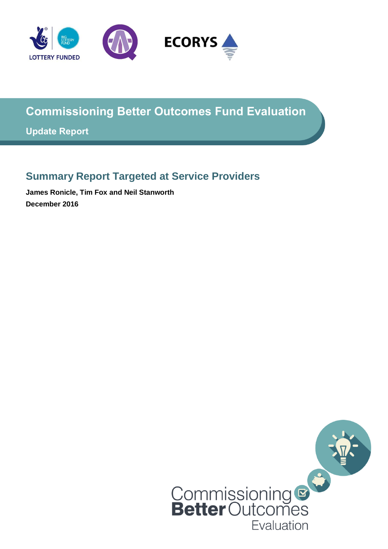

# **Commissioning Better Outcomes Fund Evaluation**

**Update Report**

# **Summary Report Targeted at Service Providers**

**James Ronicle, Tim Fox and Neil Stanworth December 2016**

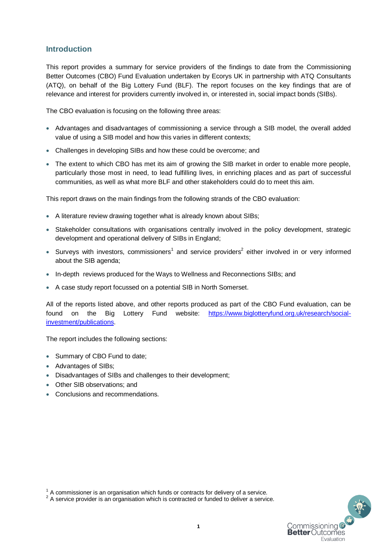## **Introduction**

This report provides a summary for service providers of the findings to date from the Commissioning Better Outcomes (CBO) Fund Evaluation undertaken by Ecorys UK in partnership with ATQ Consultants (ATQ), on behalf of the Big Lottery Fund (BLF). The report focuses on the key findings that are of relevance and interest for providers currently involved in, or interested in, social impact bonds (SIBs).

The CBO evaluation is focusing on the following three areas:

- Advantages and disadvantages of commissioning a service through a SIB model, the overall added value of using a SIB model and how this varies in different contexts;
- Challenges in developing SIBs and how these could be overcome; and
- The extent to which CBO has met its aim of growing the SIB market in order to enable more people, particularly those most in need, to lead fulfilling lives, in enriching places and as part of successful communities, as well as what more BLF and other stakeholders could do to meet this aim.

This report draws on the main findings from the following strands of the CBO evaluation:

- A literature review drawing together what is already known about SIBs;
- Stakeholder consultations with organisations centrally involved in the policy development, strategic development and operational delivery of SIBs in England;
- Surveys with investors, commissioners<sup>1</sup> and service providers<sup>2</sup> either involved in or very informed about the SIB agenda;
- In-depth reviews produced for the Ways to Wellness and Reconnections SIBs; and
- A case study report focussed on a potential SIB in North Somerset.

All of the reports listed above, and other reports produced as part of the CBO Fund evaluation, can be found on the Big Lottery Fund website: [https://www.biglotteryfund.org.uk/research/social](https://www.biglotteryfund.org.uk/research/social-investment/publications)[investment/publications.](https://www.biglotteryfund.org.uk/research/social-investment/publications)

The report includes the following sections:

- Summary of CBO Fund to date;
- Advantages of SIBs;
- Disadvantages of SIBs and challenges to their development;
- Other SIB observations: and
- Conclusions and recommendations.

<sup>&</sup>lt;sup>2</sup> A service provider is an organisation which is contracted or funded to deliver a service.



 $1$  A commissioner is an organisation which funds or contracts for delivery of a service.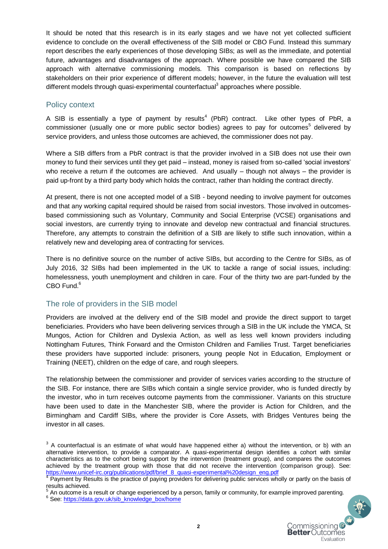It should be noted that this research is in its early stages and we have not yet collected sufficient evidence to conclude on the overall effectiveness of the SIB model or CBO Fund. Instead this summary report describes the early experiences of those developing SIBs; as well as the immediate, and potential future, advantages and disadvantages of the approach. Where possible we have compared the SIB approach with alternative commissioning models. This comparison is based on reflections by stakeholders on their prior experience of different models; however, in the future the evaluation will test different models through quasi-experimental counterfactual<sup>3</sup> approaches where possible.

### Policy context

A SIB is essentially a type of payment by results<sup>4</sup> (PbR) contract. Like other types of PbR, a commissioner (usually one or more public sector bodies) agrees to pay for outcomes<sup>5</sup> delivered by service providers, and unless those outcomes are achieved, the commissioner does not pay.

Where a SIB differs from a PbR contract is that the provider involved in a SIB does not use their own money to fund their services until they get paid – instead, money is raised from so-called 'social investors' who receive a return if the outcomes are achieved. And usually – though not always – the provider is paid up-front by a third party body which holds the contract, rather than holding the contract directly.

At present, there is not one accepted model of a SIB - beyond needing to involve payment for outcomes and that any working capital required should be raised from social investors. Those involved in outcomesbased commissioning such as Voluntary, Community and Social Enterprise (VCSE) organisations and social investors, are currently trying to innovate and develop new contractual and financial structures. Therefore, any attempts to constrain the definition of a SIB are likely to stifle such innovation, within a relatively new and developing area of contracting for services.

There is no definitive source on the number of active SIBs, but according to the Centre for SIBs, as of July 2016, 32 SIBs had been implemented in the UK to tackle a range of social issues, including: homelessness, youth unemployment and children in care. Four of the thirty two are part-funded by the  $CBO$  Fund $6$ 

## The role of providers in the SIB model

Providers are involved at the delivery end of the SIB model and provide the direct support to target beneficiaries. Providers who have been delivering services through a SIB in the UK include the YMCA, St Mungos, Action for Children and Dyslexia Action, as well as less well known providers including Nottingham Futures, Think Forward and the Ormiston Children and Families Trust. Target beneficiaries these providers have supported include: prisoners, young people Not in Education, Employment or Training (NEET), children on the edge of care, and rough sleepers.

The relationship between the commissioner and provider of services varies according to the structure of the SIB. For instance, there are SIBs which contain a single service provider, who is funded directly by the investor, who in turn receives outcome payments from the commissioner. Variants on this structure have been used to date in the Manchester SIB, where the provider is Action for Children, and the Birmingham and Cardiff SIBs, where the provider is Core Assets, with Bridges Ventures being the investor in all cases.



 $3$  A counterfactual is an estimate of what would have happened either a) without the intervention, or b) with an alternative intervention, to provide a comparator. A quasi-experimental design identifies a cohort with similar characteristics as to the cohort being support by the intervention (treatment group), and compares the outcomes achieved by the treatment group with those that did not receive the intervention (comparison group). See: [https://www.unicef-irc.org/publications/pdf/brief\\_8\\_quasi-experimental%20design\\_eng.pdf](https://www.unicef-irc.org/publications/pdf/brief_8_quasi-experimental%20design_eng.pdf)

<sup>&</sup>lt;sup>4</sup> Payment by Results is the practice of paying providers for delivering public services wholly or partly on the basis of results achieved.

<sup>&</sup>lt;sup>5</sup> An outcome is a result or change experienced by a person, family or community, for example improved parenting.

<sup>&</sup>lt;sup>6</sup> See: [https://data.gov.uk/sib\\_knowledge\\_box/home](https://data.gov.uk/sib_knowledge_box/home)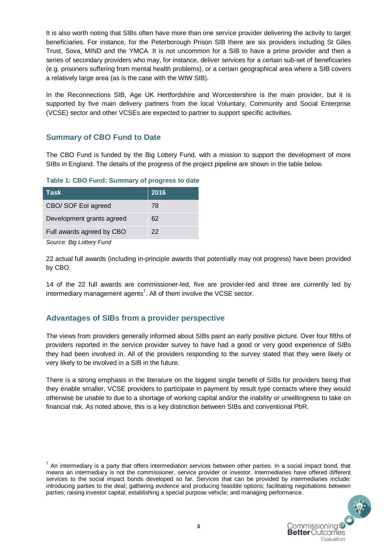It is also worth noting that SIBs often have more than one service provider delivering the activity to target beneficiaries. For instance, for the Peterborough Prison SIB there are six providers including St Giles Trust, Sova, MIND and the YMCA. It is not uncommon for a SIB to have a prime provider and then a series of secondary providers who may, for instance, deliver services for a certain sub-set of beneficiaries (e.g. prisoners suffering from mental health problems), or a certain geographical area where a SIB covers a relatively large area (as is the case with the WtW SIB).

In the Reconnections SIB, Age UK Hertfordshire and Worcestershire is the main provider, but it is supported by five main delivery partners from the local Voluntary, Community and Social Enterprise (VCSE) sector and other VCSEs are expected to partner to support specific activities.

## **Summary of CBO Fund to Date**

The CBO Fund is funded by the Big Lottery Fund, with a mission to support the development of more SIBs in England. The details of the progress of the project pipeline are shown in the table below.

#### **Table 1: CBO Fund: Summary of progress to date**

| Task                      | 2016 |
|---------------------------|------|
| CBO/ SOF Eol agreed       | 78   |
| Development grants agreed | 62   |
| Full awards agreed by CBO | 22   |
|                           |      |

*Source: Big Lottery Fund*

22 actual full awards (including in-principle awards that potentially may not progress) have been provided by CBO.

14 of the 22 full awards are commissioner-led, five are provider-led and three are currently led by intermediary management agents<sup>7</sup>. All of them involve the VCSE sector.

## **Advantages of SIBs from a provider perspective**

The views from providers generally informed about SIBs paint an early positive picture. Over four fifths of providers reported in the service provider survey to have had a good or very good experience of SIBs they had been involved in. All of the providers responding to the survey stated that they were likely or very likely to be involved in a SIB in the future.

There is a strong emphasis in the literature on the biggest single benefit of SIBs for providers being that they enable smaller, VCSE providers to participate in payment by result type contacts where they would otherwise be unable to due to a shortage of working capital and/or the inability or unwillingness to take on financial risk. As noted above, this is a key distinction between SIBs and conventional PbR.

 $<sup>7</sup>$  An intermediary is a party that offers intermediation services between other parties. In a social impact bond, that</sup> means an intermediary is not the commissioner, service provider or investor. Intermediaries have offered different services to the social impact bonds developed so far. Services that can be provided by intermediaries include: introducing parties to the deal; gathering evidence and producing feasible options; facilitating negotiations between parties; raising investor capital; establishing a special purpose vehicle; and managing performance.

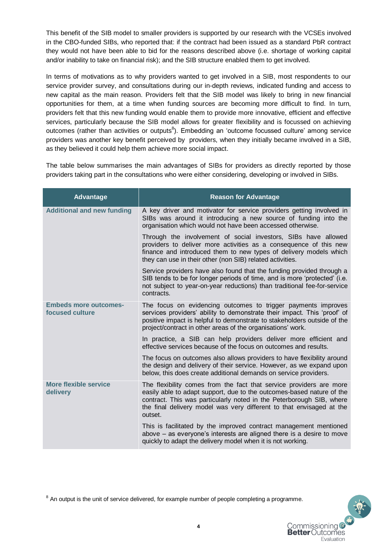This benefit of the SIB model to smaller providers is supported by our research with the VCSEs involved in the CBO-funded SIBs, who reported that: if the contract had been issued as a standard PbR contract they would not have been able to bid for the reasons described above (i.e. shortage of working capital and/or inability to take on financial risk); and the SIB structure enabled them to get involved.

In terms of motivations as to why providers wanted to get involved in a SIB, most respondents to our service provider survey, and consultations during our in-depth reviews, indicated funding and access to new capital as the main reason. Providers felt that the SIB model was likely to bring in new financial opportunities for them, at a time when funding sources are becoming more difficult to find. In turn, providers felt that this new funding would enable them to provide more innovative, efficient and effective services, particularly because the SIB model allows for greater flexibility and is focussed on achieving outcomes (rather than activities or outputs<sup>8</sup>). Embedding an 'outcome focussed culture' among service providers was another key benefit perceived by providers, when they initially became involved in a SIB, as they believed it could help them achieve more social impact.

The table below summarises the main advantages of SIBs for providers as directly reported by those providers taking part in the consultations who were either considering, developing or involved in SIBs.

| <b>Advantage</b>                                | <b>Reason for Advantage</b>                                                                                                                                                                                                                                                                             |
|-------------------------------------------------|---------------------------------------------------------------------------------------------------------------------------------------------------------------------------------------------------------------------------------------------------------------------------------------------------------|
| <b>Additional and new funding</b>               | A key driver and motivator for service providers getting involved in<br>SIBs was around it introducing a new source of funding into the<br>organisation which would not have been accessed otherwise.                                                                                                   |
|                                                 | Through the involvement of social investors, SIBs have allowed<br>providers to deliver more activities as a consequence of this new<br>finance and introduced them to new types of delivery models which<br>they can use in their other (non SIB) related activities.                                   |
|                                                 | Service providers have also found that the funding provided through a<br>SIB tends to be for longer periods of time, and is more 'protected' (i.e.<br>not subject to year-on-year reductions) than traditional fee-for-service<br>contracts.                                                            |
| <b>Embeds more outcomes-</b><br>focused culture | The focus on evidencing outcomes to trigger payments improves<br>services providers' ability to demonstrate their impact. This 'proof' of<br>positive impact is helpful to demonstrate to stakeholders outside of the<br>project/contract in other areas of the organisations' work.                    |
|                                                 | In practice, a SIB can help providers deliver more efficient and<br>effective services because of the focus on outcomes and results.                                                                                                                                                                    |
|                                                 | The focus on outcomes also allows providers to have flexibility around<br>the design and delivery of their service. However, as we expand upon<br>below, this does create additional demands on service providers.                                                                                      |
| <b>More flexible service</b><br>delivery        | The flexibility comes from the fact that service providers are more<br>easily able to adapt support, due to the outcomes-based nature of the<br>contract. This was particularly noted in the Peterborough SIB, where<br>the final delivery model was very different to that envisaged at the<br>outset. |
|                                                 | This is facilitated by the improved contract management mentioned<br>above – as everyone's interests are aligned there is a desire to move<br>quickly to adapt the delivery model when it is not working.                                                                                               |

 $8$  An output is the unit of service delivered, for example number of people completing a programme.

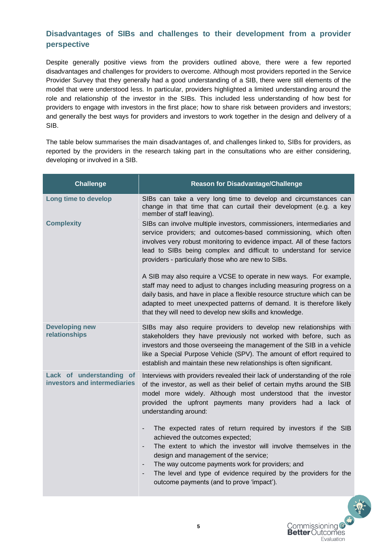# **Disadvantages of SIBs and challenges to their development from a provider perspective**

Despite generally positive views from the providers outlined above, there were a few reported disadvantages and challenges for providers to overcome. Although most providers reported in the Service Provider Survey that they generally had a good understanding of a SIB, there were still elements of the model that were understood less. In particular, providers highlighted a limited understanding around the role and relationship of the investor in the SIBs. This included less understanding of how best for providers to engage with investors in the first place; how to share risk between providers and investors; and generally the best ways for providers and investors to work together in the design and delivery of a SIB.

The table below summarises the main disadvantages of, and challenges linked to, SIBs for providers, as reported by the providers in the research taking part in the consultations who are either considering, developing or involved in a SIB.

| <b>Challenge</b>                                         | <b>Reason for Disadvantage/Challenge</b>                                                                                                                                                                                                                                                                                                                                                                      |
|----------------------------------------------------------|---------------------------------------------------------------------------------------------------------------------------------------------------------------------------------------------------------------------------------------------------------------------------------------------------------------------------------------------------------------------------------------------------------------|
| Long time to develop                                     | SIBs can take a very long time to develop and circumstances can<br>change in that time that can curtail their development (e.g. a key<br>member of staff leaving).                                                                                                                                                                                                                                            |
| <b>Complexity</b>                                        | SIBs can involve multiple investors, commissioners, intermediaries and<br>service providers; and outcomes-based commissioning, which often<br>involves very robust monitoring to evidence impact. All of these factors<br>lead to SIBs being complex and difficult to understand for service<br>providers - particularly those who are new to SIBs.                                                           |
|                                                          | A SIB may also require a VCSE to operate in new ways. For example,<br>staff may need to adjust to changes including measuring progress on a<br>daily basis, and have in place a flexible resource structure which can be<br>adapted to meet unexpected patterns of demand. It is therefore likely<br>that they will need to develop new skills and knowledge.                                                 |
| <b>Developing new</b><br>relationships                   | SIBs may also require providers to develop new relationships with<br>stakeholders they have previously not worked with before, such as<br>investors and those overseeing the management of the SIB in a vehicle<br>like a Special Purpose Vehicle (SPV). The amount of effort required to<br>establish and maintain these new relationships is often significant.                                             |
| Lack of understanding of<br>investors and intermediaries | Interviews with providers revealed their lack of understanding of the role<br>of the investor, as well as their belief of certain myths around the SIB<br>model more widely. Although most understood that the investor<br>provided the upfront payments many providers had a lack of<br>understanding around:                                                                                                |
|                                                          | The expected rates of return required by investors if the SIB<br>achieved the outcomes expected;<br>The extent to which the investor will involve themselves in the<br>$\overline{\phantom{a}}$<br>design and management of the service;<br>The way outcome payments work for providers; and<br>The level and type of evidence required by the providers for the<br>outcome payments (and to prove 'impact'). |

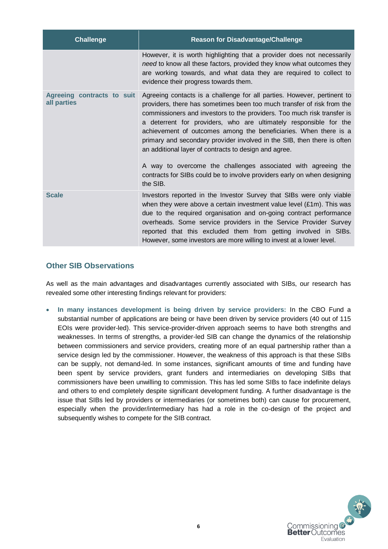| <b>Challenge</b>                          | <b>Reason for Disadvantage/Challenge</b>                                                                                                                                                                                                                                                                                                                                                                                                                                                                                                                                   |
|-------------------------------------------|----------------------------------------------------------------------------------------------------------------------------------------------------------------------------------------------------------------------------------------------------------------------------------------------------------------------------------------------------------------------------------------------------------------------------------------------------------------------------------------------------------------------------------------------------------------------------|
|                                           | However, it is worth highlighting that a provider does not necessarily<br>need to know all these factors, provided they know what outcomes they<br>are working towards, and what data they are required to collect to<br>evidence their progress towards them.                                                                                                                                                                                                                                                                                                             |
| Agreeing contracts to suit<br>all parties | Agreeing contacts is a challenge for all parties. However, pertinent to<br>providers, there has sometimes been too much transfer of risk from the<br>commissioners and investors to the providers. Too much risk transfer is<br>a deterrent for providers, who are ultimately responsible for the<br>achievement of outcomes among the beneficiaries. When there is a<br>primary and secondary provider involved in the SIB, then there is often<br>an additional layer of contracts to design and agree.<br>A way to overcome the challenges associated with agreeing the |
|                                           | contracts for SIBs could be to involve providers early on when designing<br>the SIB.                                                                                                                                                                                                                                                                                                                                                                                                                                                                                       |
| <b>Scale</b>                              | Investors reported in the Investor Survey that SIBs were only viable<br>when they were above a certain investment value level (£1m). This was<br>due to the required organisation and on-going contract performance<br>overheads. Some service providers in the Service Provider Survey<br>reported that this excluded them from getting involved in SIBs.<br>However, some investors are more willing to invest at a lower level.                                                                                                                                         |

## **Other SIB Observations**

As well as the main advantages and disadvantages currently associated with SIBs, our research has revealed some other interesting findings relevant for providers:

 **In many instances development is being driven by service providers:** In the CBO Fund a substantial number of applications are being or have been driven by service providers (40 out of 115 EOIs were provider-led). This service-provider-driven approach seems to have both strengths and weaknesses. In terms of strengths, a provider-led SIB can change the dynamics of the relationship between commissioners and service providers, creating more of an equal partnership rather than a service design led by the commissioner. However, the weakness of this approach is that these SIBs can be supply, not demand-led. In some instances, significant amounts of time and funding have been spent by service providers, grant funders and intermediaries on developing SIBs that commissioners have been unwilling to commission. This has led some SIBs to face indefinite delays and others to end completely despite significant development funding. A further disadvantage is the issue that SIBs led by providers or intermediaries (or sometimes both) can cause for procurement, especially when the provider/intermediary has had a role in the co-design of the project and subsequently wishes to compete for the SIB contract.

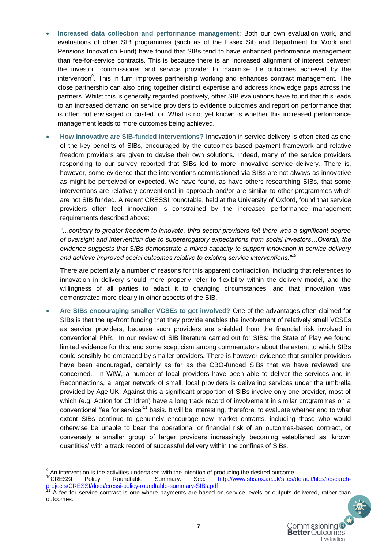- **Increased data collection and performance management**: Both our own evaluation work, and evaluations of other SIB programmes (such as of the Essex Sib and Department for Work and Pensions Innovation Fund) have found that SIBs tend to have enhanced performance management than fee-for-service contracts. This is because there is an increased alignment of interest between the investor, commissioner and service provider to maximise the outcomes achieved by the intervention<sup>9</sup>. This in turn improves partnership working and enhances contract management. The close partnership can also bring together distinct expertise and address knowledge gaps across the partners. Whilst this is generally regarded positively, other SIB evaluations have found that this leads to an increased demand on service providers to evidence outcomes and report on performance that is often not envisaged or costed for. What is not yet known is whether this increased performance management leads to more outcomes being achieved.
- **How innovative are SIB-funded interventions?** Innovation in service delivery is often cited as one of the key benefits of SIBs, encouraged by the outcomes-based payment framework and relative freedom providers are given to devise their own solutions. Indeed, many of the service providers responding to our survey reported that SIBs led to more innovative service delivery. There is, however, some evidence that the interventions commissioned via SIBs are not always as innovative as might be perceived or expected. We have found, as have others researching SIBs, that some interventions are relatively conventional in approach and/or are similar to other programmes which are not SIB funded. A recent CRESSI roundtable, held at the University of Oxford, found that service providers often feel innovation is constrained by the increased performance management requirements described above:

*"…contrary to greater freedom to innovate, third sector providers felt there was a significant degree of oversight and intervention due to supererogatory expectations from social investors…Overall, the evidence suggests that SIBs demonstrate a mixed capacity to support innovation in service delivery and achieve improved social outcomes relative to existing service interventions."<sup>10</sup>*

There are potentially a number of reasons for this apparent contradiction, including that references to innovation in delivery should more properly refer to flexibility within the delivery model, and the willingness of all parties to adapt it to changing circumstances; and that innovation was demonstrated more clearly in other aspects of the SIB.

 **Are SIBs encouraging smaller VCSEs to get involved?** One of the advantages often claimed for SIBs is that the up-front funding that they provide enables the involvement of relatively small VCSEs as service providers, because such providers are shielded from the financial risk involved in conventional PbR. In our review of SIB literature carried out for SIBs: the State of Play we found limited evidence for this, and some scepticism among commentators about the extent to which SIBs could sensibly be embraced by smaller providers. There is however evidence that smaller providers have been encouraged, certainly as far as the CBO-funded SIBs that we have reviewed are concerned. In WtW, a number of local providers have been able to deliver the services and in Reconnections, a larger network of small, local providers is delivering services under the umbrella provided by Age UK. Against this a significant proportion of SIBs involve only one provider, most of which (e.g. Action for Children) have a long track record of involvement in similar programmes on a conventional 'fee for service'<sup>11</sup> basis. It will be interesting, therefore, to evaluate whether and to what extent SIBs continue to genuinely encourage new market entrants, including those who would otherwise be unable to bear the operational or financial risk of an outcomes-based contract, or conversely a smaller group of larger providers increasingly becoming established as 'known quantities' with a track record of successful delivery within the confines of SIBs.

A fee for service contract is one where payments are based on service levels or outputs delivered, rather than outcomes.



<sup>&</sup>lt;sup>9</sup> An intervention is the activities undertaken with the intention of producing the desired outcome.<br><sup>10</sup>CRESSI Policy Roundtable Summary. See: http://www.sbs.ox.ac.uk/sites/ Policy Roundtable Summary. See: [http://www.sbs.ox.ac.uk/sites/default/files/research](http://www.sbs.ox.ac.uk/sites/default/files/research-projects/CRESSI/docs/cressi-policy-roundtable-summary-SIBs.pdf)projects/CRESSI/docs/cressi-policy-roundtable-summary-SIBs.pdf<br>
<sup>11</sup> A foc. for sexuring